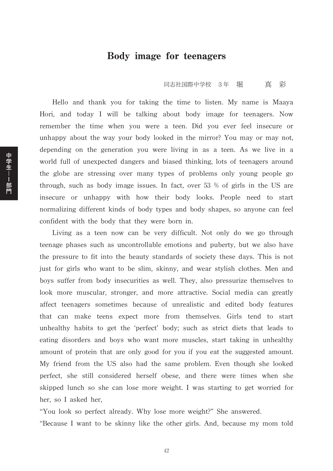## Body image for teenagers

同志社国際中学校 3年 堀 真 彩

Hello and thank you for taking the time to listen. My name is Maaya Hori, and today I will be talking about body image for teenagers. Now remember the time when you were a teen. Did you ever feel insecure or unhappy about the way your body looked in the mirror? You may or may not, depending on the generation you were living in as a teen. As we live in a world full of unexpected dangers and biased thinking, lots of teenagers around the globe are stressing over many types of problems only young people go through, such as body image issues. In fact, over 53 % of girls in the US are insecure or unhappy with how their body looks. People need to start normalizing different kinds of body types and body shapes, so anyone can feel confident with the body that they were born in.

Living as a teen now can be very difficult. Not only do we go through teenage phases such as uncontrollable emotions and puberty, but we also have the pressure to fit into the beauty standards of society these days. This is not just for girls who want to be slim, skinny, and wear stylish clothes. Men and boys suffer from body insecurities as well. They, also pressurize themselves to look more muscular, stronger, and more attractive. Social media can greatly affect teenagers sometimes because of unrealistic and edited body features that can make teens expect more from themselves. Girls tend to start unhealthy habits to get the 'perfect' body; such as strict diets that leads to eating disorders and boys who want more muscles, start taking in unhealthy amount of protein that are only good for you if you eat the suggested amount. My friend from the US also had the same problem. Even though she looked perfect, she still considered herself obese, and there were times when she skipped lunch so she can lose more weight. I was starting to get worried for her, so I asked her,

"You look so perfect already. Why lose more weight?" She answered.

"Because I want to be skinny like the other girls. And, because my mom told